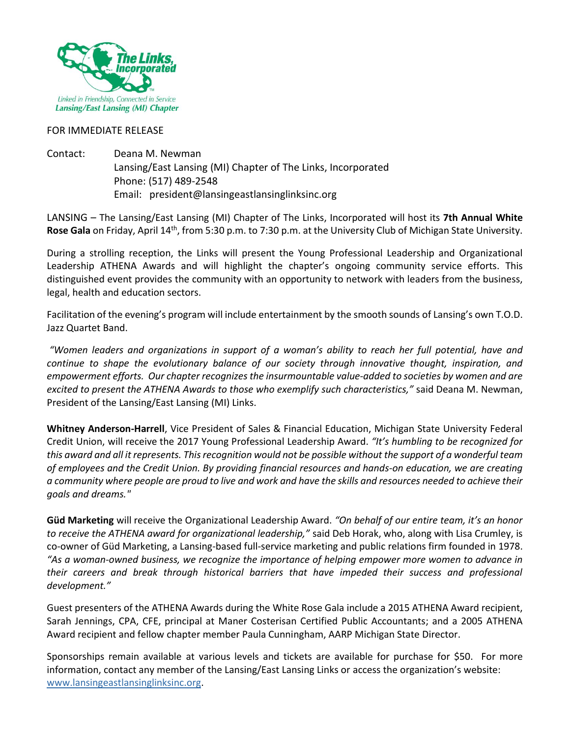

#### FOR IMMEDIATE RELEASE

Contact: Deana M. Newman Lansing/East Lansing (MI) Chapter of The Links, Incorporated Phone: (517) 489-2548 Email: president@lansingeastlansinglinksinc.org

LANSING – The Lansing/East Lansing (MI) Chapter of The Links, Incorporated will host its **7th Annual White Rose Gala** on Friday, April 14th, from 5:30 p.m. to 7:30 p.m. at the University Club of Michigan State University.

During a strolling reception, the Links will present the Young Professional Leadership and Organizational Leadership ATHENA Awards and will highlight the chapter's ongoing community service efforts. This distinguished event provides the community with an opportunity to network with leaders from the business, legal, health and education sectors.

Facilitation of the evening's program will include entertainment by the smooth sounds of Lansing's own T.O.D. Jazz Quartet Band.

*"Women leaders and organizations in support of a woman's ability to reach her full potential, have and continue to shape the evolutionary balance of our society through innovative thought, inspiration, and empowerment efforts. Our chapter recognizes the insurmountable value-added to societies by women and are excited to present the ATHENA Awards to those who exemplify such characteristics,"* said Deana M. Newman, President of the Lansing/East Lansing (MI) Links.

**Whitney Anderson-Harrell**, Vice President of Sales & Financial Education, Michigan State University Federal Credit Union, will receive the 2017 Young Professional Leadership Award. *"It's humbling to be recognized for this award and all it represents. This recognition would not be possible without the support of a wonderful team of employees and the Credit Union. By providing financial resources and hands-on education, we are creating a community where people are proud to live and work and have the skills and resources needed to achieve their goals and dreams."*

**Güd Marketing** will receive the Organizational Leadership Award. *"On behalf of our entire team, it's an honor to receive the ATHENA award for organizational leadership,"* said Deb Horak, who, along with Lisa Crumley, is co-owner of Güd Marketing, a Lansing-based full-service marketing and public relations firm founded in 1978. *"As a woman-owned business, we recognize the importance of helping empower more women to advance in their careers and break through historical barriers that have impeded their success and professional development."*

Guest presenters of the ATHENA Awards during the White Rose Gala include a 2015 ATHENA Award recipient, Sarah Jennings, CPA, CFE, principal at Maner Costerisan Certified Public Accountants; and a 2005 ATHENA Award recipient and fellow chapter member Paula Cunningham, AARP Michigan State Director.

Sponsorships remain available at various levels and tickets are available for purchase for \$50. For more information, contact any member of the Lansing/East Lansing Links or access the organization's website: [www.lansingeastlansinglinksinc.org.](http://www.lansingeastlansinglinks.org/)